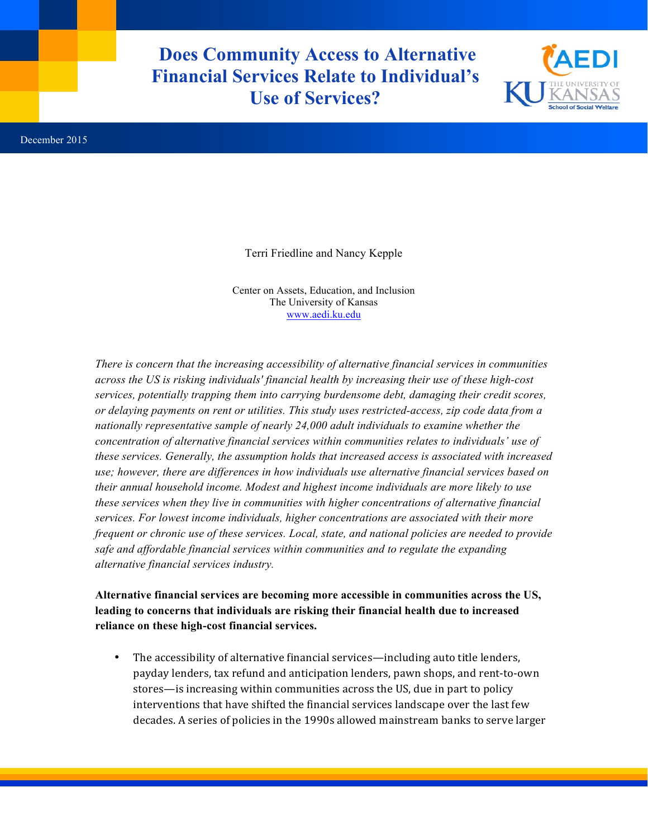**Does Community Access to Alternative Financial Services Relate to Individual's Use of Services?**



Terri Friedline and Nancy Kepple

Center on Assets, Education, and Inclusion The University of Kansas www.aedi.ku.edu

*There is concern that the increasing accessibility of alternative financial services in communities across the US is risking individuals' financial health by increasing their use of these high-cost services, potentially trapping them into carrying burdensome debt, damaging their credit scores, or delaying payments on rent or utilities. This study uses restricted-access, zip code data from a nationally representative sample of nearly 24,000 adult individuals to examine whether the concentration of alternative financial services within communities relates to individuals' use of these services. Generally, the assumption holds that increased access is associated with increased use; however, there are differences in how individuals use alternative financial services based on their annual household income. Modest and highest income individuals are more likely to use these services when they live in communities with higher concentrations of alternative financial services. For lowest income individuals, higher concentrations are associated with their more frequent or chronic use of these services. Local, state, and national policies are needed to provide safe and affordable financial services within communities and to regulate the expanding alternative financial services industry.*

**Alternative financial services are becoming more accessible in communities across the US, leading to concerns that individuals are risking their financial health due to increased reliance on these high-cost financial services.** 

• The accessibility of alternative financial services—including auto title lenders, payday lenders, tax refund and anticipation lenders, pawn shops, and rent-to-own stores—is increasing within communities across the US, due in part to policy interventions that have shifted the financial services landscape over the last few decades. A series of policies in the 1990s allowed mainstream banks to serve larger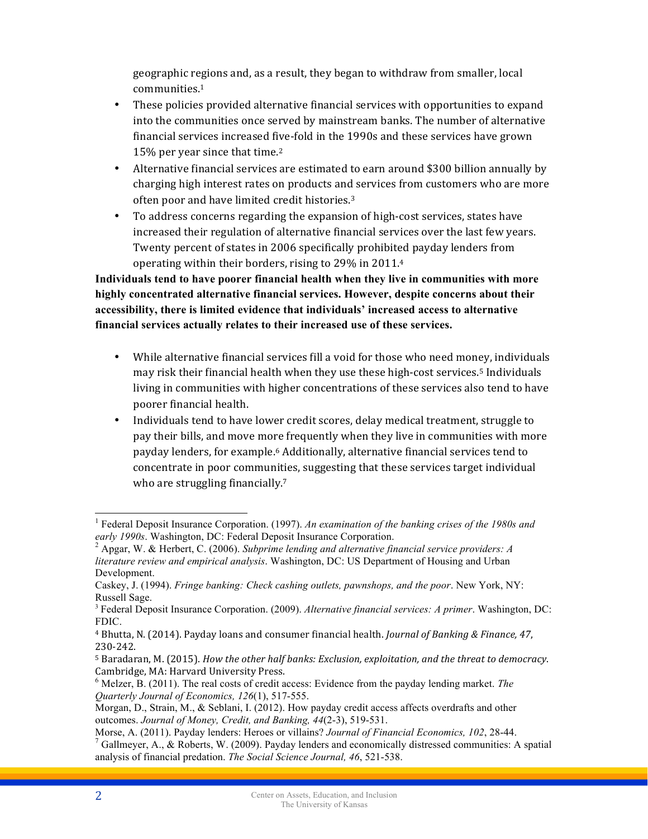geographic regions and, as a result, they began to withdraw from smaller, local communities.1

- These policies provided alternative financial services with opportunities to expand into the communities once served by mainstream banks. The number of alternative financial services increased five-fold in the 1990s and these services have grown 15% per year since that time.<sup>2</sup>
- Alternative financial services are estimated to earn around \$300 billion annually by charging high interest rates on products and services from customers who are more often poor and have limited credit histories.<sup>3</sup>
- To address concerns regarding the expansion of high-cost services, states have increased their regulation of alternative financial services over the last few years. Twenty percent of states in 2006 specifically prohibited payday lenders from operating within their borders, rising to  $29\%$  in  $2011.4$

**Individuals tend to have poorer financial health when they live in communities with more highly concentrated alternative financial services. However, despite concerns about their accessibility, there is limited evidence that individuals' increased access to alternative financial services actually relates to their increased use of these services.**

- While alternative financial services fill a void for those who need money, individuals may risk their financial health when they use these high-cost services.<sup>5</sup> Individuals living in communities with higher concentrations of these services also tend to have poorer financial health.
- Individuals tend to have lower credit scores, delay medical treatment, struggle to pay their bills, and move more frequently when they live in communities with more payday lenders, for example.<sup>6</sup> Additionally, alternative financial services tend to concentrate in poor communities, suggesting that these services target individual who are struggling financially.<sup>7</sup>

 <sup>1</sup> Federal Deposit Insurance Corporation. (1997). *An examination of the banking crises of the 1980s and early 1990s.* Washington, DC: Federal Deposit Insurance Corporation.<br><sup>2</sup> Apgar, W. & Herbert, C. (2006). *Subprime lending and alternative financial service providers: A* 

*literature review and empirical analysis*. Washington, DC: US Department of Housing and Urban Development.

Caskey, J. (1994). *Fringe banking: Check cashing outlets, pawnshops, and the poor*. New York, NY: Russell Sage.

<sup>3</sup> Federal Deposit Insurance Corporation. (2009). *Alternative financial services: A primer*. Washington, DC: FDIC.

<sup>&</sup>lt;sup>4</sup> Bhutta, N. (2014). Payday loans and consumer financial health. *Journal of Banking & Finance, 47*, 230-242.

<sup>&</sup>lt;sup>5</sup> Baradaran, M. (2015). *How the other half banks: Exclusion, exploitation, and the threat to democracy.* Cambridge, MA: Harvard University Press.

<sup>6</sup> Melzer, B. (2011). The real costs of credit access: Evidence from the payday lending market. *The Quarterly Journal of Economics, 126*(1), 517-555.

Morgan, D., Strain, M., & Seblani, I. (2012). How payday credit access affects overdrafts and other outcomes. *Journal of Money, Credit, and Banking, 44*(2-3), 519-531.

Morse, A. (2011). Payday lenders: Heroes or villains? *Journal of Financial Economics, 102*, 28-44. 7 Gallmeyer, A., & Roberts, W. (2009). Payday lenders and economically distressed communities: A spatial analysis of financial predation. *The Social Science Journal, 46*, 521-538.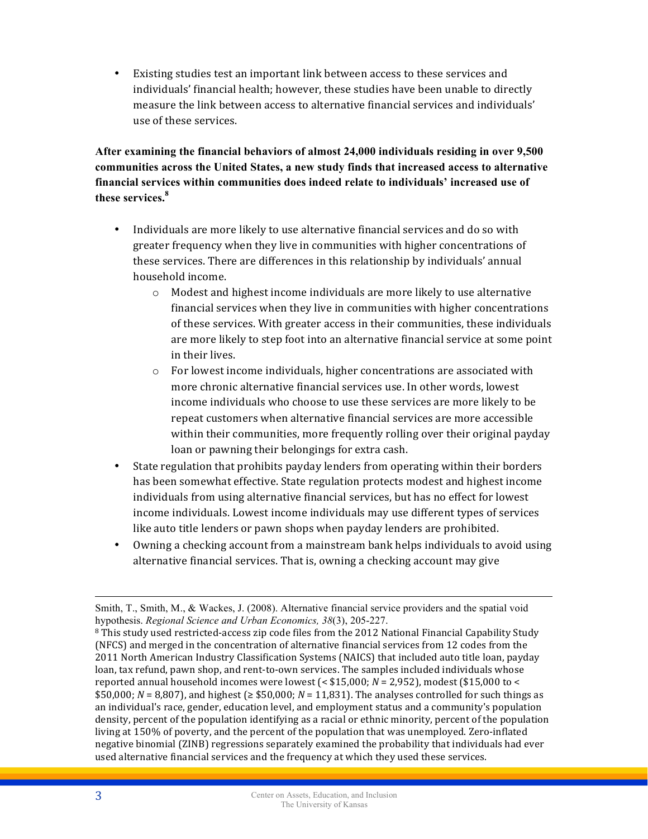• Existing studies test an important link between access to these services and individuals' financial health; however, these studies have been unable to directly measure the link between access to alternative financial services and individuals' use of these services.

**After examining the financial behaviors of almost 24,000 individuals residing in over 9,500 communities across the United States, a new study finds that increased access to alternative financial services within communities does indeed relate to individuals' increased use of these services.<sup>8</sup>**

- Individuals are more likely to use alternative financial services and do so with greater frequency when they live in communities with higher concentrations of these services. There are differences in this relationship by individuals' annual household income.
	- $\circ$  Modest and highest income individuals are more likely to use alternative financial services when they live in communities with higher concentrations of these services. With greater access in their communities, these individuals are more likely to step foot into an alternative financial service at some point in their lives.
	- $\circ$  For lowest income individuals, higher concentrations are associated with more chronic alternative financial services use. In other words, lowest income individuals who choose to use these services are more likely to be repeat customers when alternative financial services are more accessible within their communities, more frequently rolling over their original payday loan or pawning their belongings for extra cash.
- State regulation that prohibits payday lenders from operating within their borders has been somewhat effective. State regulation protects modest and highest income individuals from using alternative financial services, but has no effect for lowest income individuals. Lowest income individuals may use different types of services like auto title lenders or pawn shops when payday lenders are prohibited.
- Owning a checking account from a mainstream bank helps individuals to avoid using alternative financial services. That is, owning a checking account may give

 $\overline{a}$ 

Smith, T., Smith, M., & Wackes, J. (2008). Alternative financial service providers and the spatial void hypothesis. *Regional Science and Urban Economics, 38*(3), 205-227.

<sup>&</sup>lt;sup>8</sup> This study used restricted-access zip code files from the 2012 National Financial Capability Study (NFCS) and merged in the concentration of alternative financial services from 12 codes from the 2011 North American Industry Classification Systems (NAICS) that included auto title loan, payday loan, tax refund, pawn shop, and rent-to-own services. The samples included individuals whose reported annual household incomes were lowest  $\approx$  \$15,000; *N* = 2,952), modest (\$15,000 to  $\lt$  $$50,000; N = 8,807$ , and highest ( $\geq$  \$50,000;  $N = 11,831$ ). The analyses controlled for such things as an individual's race, gender, education level, and employment status and a community's population density, percent of the population identifying as a racial or ethnic minority, percent of the population living at 150% of poverty, and the percent of the population that was unemployed. Zero-inflated negative binomial (ZINB) regressions separately examined the probability that individuals had ever used alternative financial services and the frequency at which they used these services.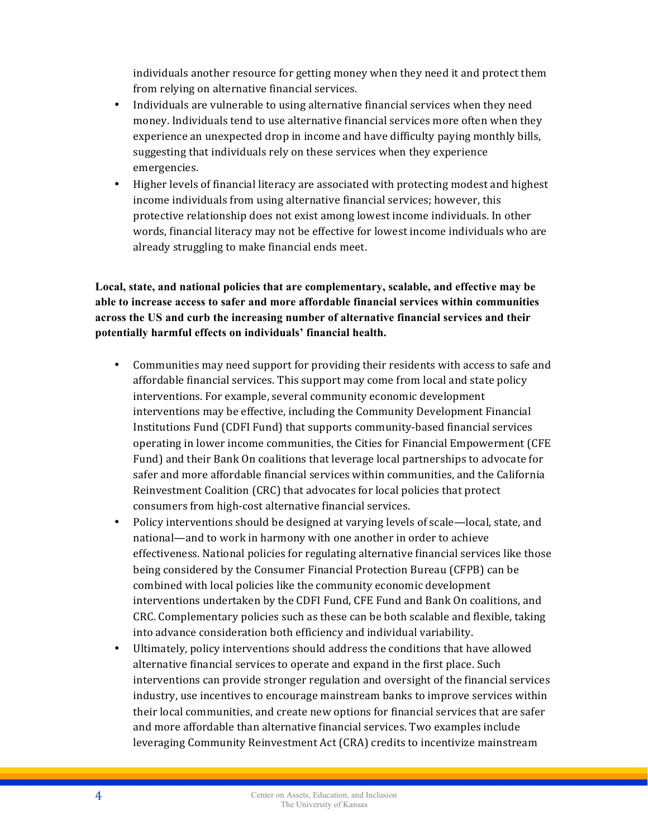individuals another resource for getting money when they need it and protect them from relying on alternative financial services.

- Individuals are vulnerable to using alternative financial services when they need money. Individuals tend to use alternative financial services more often when they experience an unexpected drop in income and have difficulty paying monthly bills, suggesting that individuals rely on these services when they experience emergencies.
- Higher levels of financial literacy are associated with protecting modest and highest income individuals from using alternative financial services; however, this protective relationship does not exist among lowest income individuals. In other words, financial literacy may not be effective for lowest income individuals who are already struggling to make financial ends meet.

**Local, state, and national policies that are complementary, scalable, and effective may be able to increase access to safer and more affordable financial services within communities across the US and curb the increasing number of alternative financial services and their potentially harmful effects on individuals' financial health.**

- Communities may need support for providing their residents with access to safe and affordable financial services. This support may come from local and state policy interventions. For example, several community economic development interventions may be effective, including the Community Development Financial Institutions Fund (CDFI Fund) that supports community-based financial services operating in lower income communities, the Cities for Financial Empowerment (CFE Fund) and their Bank On coalitions that leverage local partnerships to advocate for safer and more affordable financial services within communities, and the California Reinvestment Coalition (CRC) that advocates for local policies that protect consumers from high-cost alternative financial services.
- Policy interventions should be designed at varying levels of scale—local, state, and national—and to work in harmony with one another in order to achieve effectiveness. National policies for regulating alternative financial services like those being considered by the Consumer Financial Protection Bureau (CFPB) can be combined with local policies like the community economic development interventions undertaken by the CDFI Fund, CFE Fund and Bank On coalitions, and CRC. Complementary policies such as these can be both scalable and flexible, taking into advance consideration both efficiency and individual variability.
- Ultimately, policy interventions should address the conditions that have allowed alternative financial services to operate and expand in the first place. Such interventions can provide stronger regulation and oversight of the financial services industry, use incentives to encourage mainstream banks to improve services within their local communities, and create new options for financial services that are safer and more affordable than alternative financial services. Two examples include leveraging Community Reinvestment Act (CRA) credits to incentivize mainstream